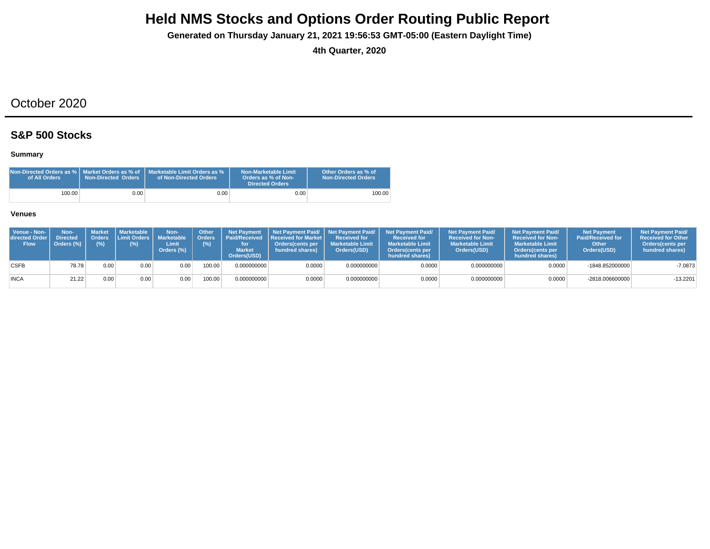**Generated on Thursday January 21, 2021 19:56:53 GMT-05:00 (Eastern Daylight Time)**

**4th Quarter, 2020**

## October 2020

## **S&P 500 Stocks**

### **Summary**

| Non-Directed Orders as %   Market Orders as % of<br>of All Orders | <b>Non-Directed Orders</b> | Marketable Limit Orders as %<br>of Non-Directed Orders | Non-Marketable Limit<br>Orders as % of Non-<br><b>Directed Orders</b> | Other Orders as % of<br><b>Non-Directed Orders</b> |
|-------------------------------------------------------------------|----------------------------|--------------------------------------------------------|-----------------------------------------------------------------------|----------------------------------------------------|
| 100.00                                                            | 0.001                      | 0.001                                                  | 0.00                                                                  | 100.00                                             |

| Venue - Non-<br><b>directed Order I</b><br><b>Flow</b> | Non-<br><b>Directed</b><br>Orders (%) | Market<br>(%)     | <b>Marketable</b><br>$(\%)$ | Non-<br>Orders Limit Orders   Marketable<br>Limit<br>Orders (%) | <b>Other</b><br><b>I</b> Orders<br>(%) | <b>Net Payment</b><br><b>Market</b><br>Orders(USD) | Net Payment Paid/ Net Payment Paid/<br>  Paid/Received   Received for Market<br><b>Orders</b> (cents per<br>hundred shares) | <b>Received for</b><br><b>Marketable Limit</b><br>Orders(USD) | <b>Net Payment Paid/</b><br><b>Received for</b><br><b>Marketable Limit</b><br><b>Orders</b> (cents per<br>hundred shares) | <b>Net Payment Paid/</b><br><b>Received for Non-</b><br><b>Marketable Limit</b><br>Orders(USD) | <b>Net Payment Paid/</b><br><b>Received for Non-</b><br><b>Marketable Limit</b><br><b>Orders</b> (cents per<br>hundred shares) | <b>Net Payment</b><br><b>Paid/Received for</b><br>Other<br>Orders(USD) | <b>Net Payment Paid/</b><br><b>Received for Other</b><br><b>Orders</b> (cents per<br>hundred shares) |
|--------------------------------------------------------|---------------------------------------|-------------------|-----------------------------|-----------------------------------------------------------------|----------------------------------------|----------------------------------------------------|-----------------------------------------------------------------------------------------------------------------------------|---------------------------------------------------------------|---------------------------------------------------------------------------------------------------------------------------|------------------------------------------------------------------------------------------------|--------------------------------------------------------------------------------------------------------------------------------|------------------------------------------------------------------------|------------------------------------------------------------------------------------------------------|
| <b>CSFB</b>                                            | 78.78                                 | 0.00 <sub>1</sub> | 0.00                        | 0.00                                                            | 100.00                                 | 0.000000000                                        | 0.0000                                                                                                                      | 0.000000000                                                   | 0.0000                                                                                                                    | 0.000000000                                                                                    | 0.0000                                                                                                                         | -1848.852000000                                                        | $-7.0873$                                                                                            |
| <b>INCA</b>                                            | 21.22                                 | 0.00              | 0.00                        | 0.00                                                            | 100.00                                 | 0.000000000                                        | 0.0000                                                                                                                      | 0.000000000                                                   | 0.0000                                                                                                                    | 0.000000000                                                                                    | 0.0000                                                                                                                         | $-2818.006600000$                                                      | $-13.2201$                                                                                           |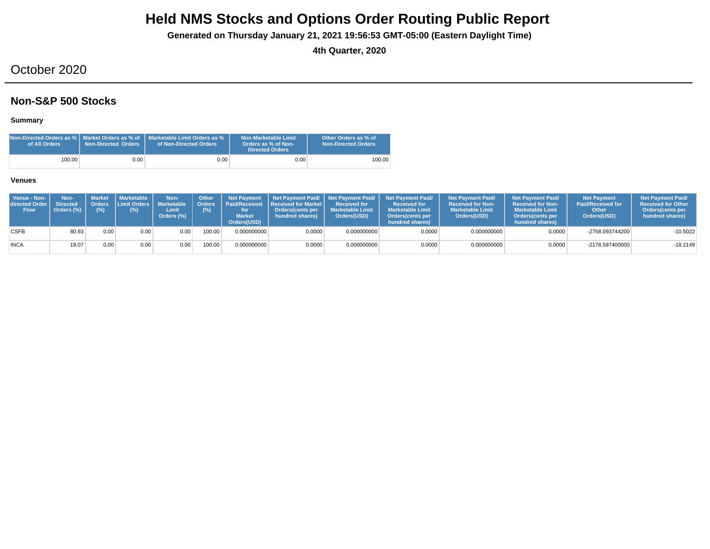**Generated on Thursday January 21, 2021 19:56:53 GMT-05:00 (Eastern Daylight Time)**

**4th Quarter, 2020**

## October 2020

## **Non-S&P 500 Stocks**

### **Summary**

| of All Orders | <b>Non-Directed Orders</b> | <b>Non-Directed Orders as %   Market Orders as % of   Marketable Limit Orders as %</b><br>of Non-Directed Orders | Non-Marketable Limit<br>Orders as % of Non-<br><b>Directed Orders</b> | Other Orders as % of<br><b>Non-Directed Orders</b> |
|---------------|----------------------------|------------------------------------------------------------------------------------------------------------------|-----------------------------------------------------------------------|----------------------------------------------------|
| 100.00        | 0.00                       | $0.00\,$                                                                                                         | 0.00                                                                  | 100.00                                             |

| Venue - Non-<br>directed Order<br><b>Flow</b> | Non-<br><b>Directed</b><br>Orders (%) | (% ) | Market   Marketable<br>Orders Limit Orders L | Non-<br><b>Marketable</b><br>Limit<br>Orders (%) | Other<br>(%) | <b>Net Payment</b><br><b>Orders   Paid/Received \</b><br><b>Market</b><br>Orders(USD) | <b>Received for Market L</b><br>Orders cents per<br>hundred shares) | <b>Received for</b><br><b>Marketable Limit</b><br>Orders(USD) | Net Payment Paid/ Net Payment Paid/ Net Payment Paid/<br><b>Received for</b><br><b>Marketable Limit</b><br>Orders (cents per<br>hundred shares) | <b>Net Payment Paid/</b><br><b>Received for Non-</b><br><b>Marketable Limit</b><br>Orders(USD) | <b>Net Payment Paid/</b><br><b>Received for Non-</b><br><b>Marketable Limit</b><br><b>Orders</b> (cents per<br>hundred shares) | Net Payment<br><b>Paid/Received for</b><br>Other<br>Orders(USD) | <b>Net Payment Paid/</b><br><b>Received for Other</b><br>Orders (cents per<br>hundred shares) |
|-----------------------------------------------|---------------------------------------|------|----------------------------------------------|--------------------------------------------------|--------------|---------------------------------------------------------------------------------------|---------------------------------------------------------------------|---------------------------------------------------------------|-------------------------------------------------------------------------------------------------------------------------------------------------|------------------------------------------------------------------------------------------------|--------------------------------------------------------------------------------------------------------------------------------|-----------------------------------------------------------------|-----------------------------------------------------------------------------------------------|
| <b>CSFB</b>                                   | 80.93                                 | 0.00 | 0.00                                         | 0.00                                             | 100.00       | 0.000000000                                                                           | 0.0000                                                              | 0.000000000                                                   | 0.0000                                                                                                                                          | 0.000000000                                                                                    | 0.0000                                                                                                                         | -2758.093744200                                                 | $-10.5022$                                                                                    |
| <b>INCA</b>                                   | 19.07                                 | 0.00 | 0.00                                         | 0.00                                             | 100.00       | 0.000000000                                                                           | 0.0000                                                              | 0.000000000                                                   | 0.0000                                                                                                                                          | 0.000000000                                                                                    | 0.0000                                                                                                                         | -2178.587400000                                                 | $-18.2149$                                                                                    |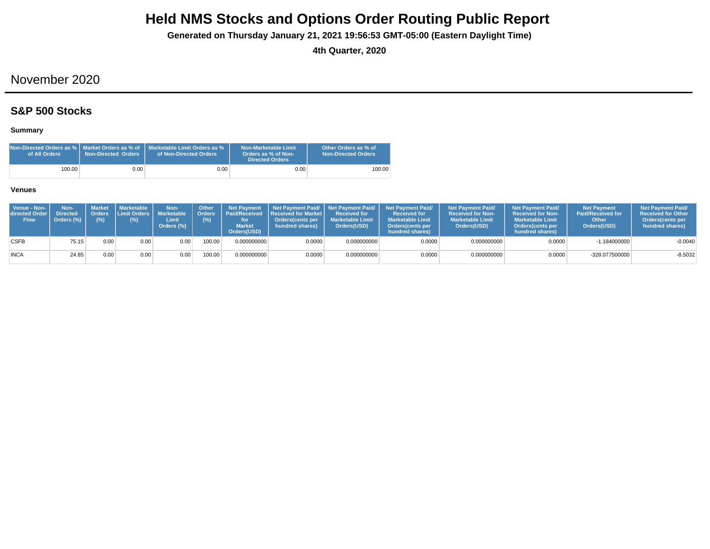**Generated on Thursday January 21, 2021 19:56:53 GMT-05:00 (Eastern Daylight Time)**

**4th Quarter, 2020**

## November 2020

## **S&P 500 Stocks**

### **Summary**

| Non-Directed Orders as %   Market Orders as % of<br>of All Orders | <b>Non-Directed Orders</b> | Marketable Limit Orders as %<br>of Non-Directed Orders | Non-Marketable Limit<br>Orders as % of Non-<br>Directed Orders | Other Orders as % of<br>Non-Directed Orders |
|-------------------------------------------------------------------|----------------------------|--------------------------------------------------------|----------------------------------------------------------------|---------------------------------------------|
| 100.00                                                            | 0.00                       | $0.00 -$                                               | 0.00                                                           | 100.00                                      |

| Venue - Non-<br>directed Order<br><b>Flow</b> | Non-<br><b>Directed</b><br>Orders $(\%)$ | <b>Market</b><br>(%) | <b>I</b> Marketable I<br>Orders Limit Orders I<br>(%) | Non-<br><b>Marketable</b><br>Limit<br>Orders (%) | Other<br>(%) | <b>Net Payment</b><br>Orders   Paid/Received<br><b>Market</b><br>Orders(USD) | <b>Received for Market L</b><br>Orders(cents per<br>hundred shares) | <b>Received for</b><br><b>Marketable Limit</b><br>Orders(USD) | Net Payment Paid/ Net Payment Paid/ Net Payment Paid/<br><b>Received for</b><br><b>Marketable Limit</b><br><b>Orders</b> (cents per<br>hundred shares) | <b>Net Payment Paid/</b><br><b>Received for Non-</b><br><b>Marketable Limit</b><br>Orders(USD) | <b>Net Payment Paid/</b><br><b>Received for Non-</b><br><b>Marketable Limit</b><br><b>Orders</b> (cents per<br>hundred shares) | <b>Net Payment</b><br><b>Paid/Received for</b><br>Other<br>Orders(USD) | <b>Net Payment Paid/</b><br><b>Received for Other</b><br><b>Orders</b> (cents per<br>hundred shares) |
|-----------------------------------------------|------------------------------------------|----------------------|-------------------------------------------------------|--------------------------------------------------|--------------|------------------------------------------------------------------------------|---------------------------------------------------------------------|---------------------------------------------------------------|--------------------------------------------------------------------------------------------------------------------------------------------------------|------------------------------------------------------------------------------------------------|--------------------------------------------------------------------------------------------------------------------------------|------------------------------------------------------------------------|------------------------------------------------------------------------------------------------------|
| <b>CSFB</b>                                   | 75.15                                    | 0.00                 | 0.00                                                  | 0.00                                             | 100.00       | 0.000000000                                                                  | 0.0000                                                              | 0.000000000                                                   | 0.0000                                                                                                                                                 | 0.000000000                                                                                    | 0.0000                                                                                                                         | $-1.184000000$                                                         | $-0.0040$                                                                                            |
| <b>INCA</b>                                   | 24.85                                    | 0.00                 | 0.00                                                  | 0.00                                             | 100.00       | 0.000000000                                                                  | 0.0000                                                              | 0.000000000                                                   | 0.0000                                                                                                                                                 | 0.000000000                                                                                    | 0.0000                                                                                                                         | -328.077500000                                                         | $-8.5032$                                                                                            |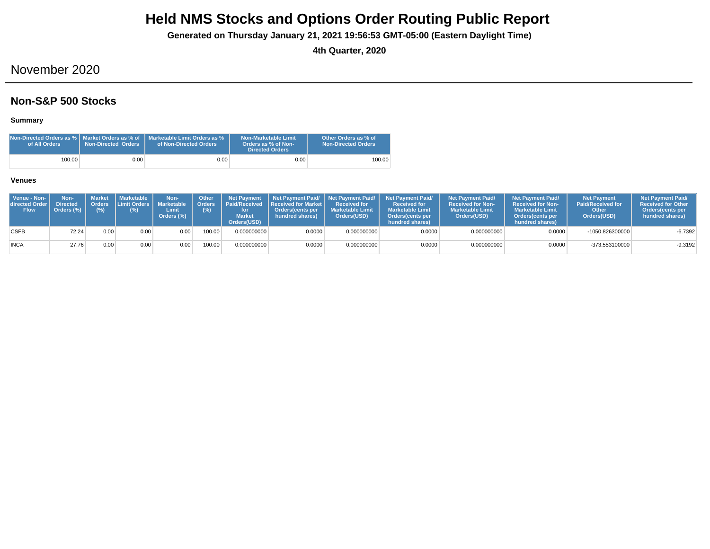**Generated on Thursday January 21, 2021 19:56:53 GMT-05:00 (Eastern Daylight Time)**

**4th Quarter, 2020**

## November 2020

## **Non-S&P 500 Stocks**

**Summary**

| Non-Directed Orders as %   Market Orders as % of<br>of All Orders | <b>Non-Directed Orders</b> | Marketable Limit Orders as %<br>of Non-Directed Orders | Non-Marketable Limit<br>Orders as % of Non-<br><b>Directed Orders</b> | Other Orders as % of<br><b>Non-Directed Orders</b> |
|-------------------------------------------------------------------|----------------------------|--------------------------------------------------------|-----------------------------------------------------------------------|----------------------------------------------------|
| 100.00                                                            | 0.00                       | $0.00\,$                                               | 0.00                                                                  | 100.00                                             |

| Venue - Non-<br>directed Order I<br><b>Flow</b> | Non-<br><b>Directed</b><br>Orders (%) | $(\%)$ | ' Market I Marketable<br>Orders Limit Orders   Marketable<br>(%) | Non-<br>Limit<br>Orders (%) | Other<br>Crders <sup>1</sup><br>(%) | <b>Net Payment</b><br><b>Market</b><br>Orders(USD) | <b>Paid/Received Received for Market L</b><br>Orders(cents per<br>hundred shares) | <b>Received for</b><br><b>Marketable Limit</b><br>Orders(USD) | Net Payment Paid/ Net Payment Paid/ Net Payment Paid/<br><b>Received for</b><br><b>Marketable Limit</b><br>Orders (cents per<br>hundred shares) | <b>Net Payment Paid/</b><br><b>Received for Non-</b><br><b>Marketable Limit</b><br>Orders(USD) | <b>Net Payment Paid/</b><br><b>Received for Non-</b><br><b>Marketable Limit</b><br>Orders(cents per<br>hundred shares) | <b>Net Payment</b><br><b>Paid/Received for</b><br>Other<br>Orders(USD) | <b>Net Payment Paid/</b><br><b>Received for Other</b><br><b>Orders</b> (cents per<br>hundred shares) |
|-------------------------------------------------|---------------------------------------|--------|------------------------------------------------------------------|-----------------------------|-------------------------------------|----------------------------------------------------|-----------------------------------------------------------------------------------|---------------------------------------------------------------|-------------------------------------------------------------------------------------------------------------------------------------------------|------------------------------------------------------------------------------------------------|------------------------------------------------------------------------------------------------------------------------|------------------------------------------------------------------------|------------------------------------------------------------------------------------------------------|
| <b>CSFB</b>                                     | 72.24                                 | 0.00   | 0.00                                                             | 0.00                        | 100.00                              | 0.000000000                                        | 0.0000                                                                            | 0.000000000                                                   | 0.0000                                                                                                                                          | 0.000000000                                                                                    | 0.0000                                                                                                                 | -1050.826300000                                                        | $-6.7392$                                                                                            |
| <b>INCA</b>                                     | 27.76                                 | 0.00   | 0.00                                                             | $9.00 +$                    | 100.00                              | 0.000000000                                        | 0.0000                                                                            | 0.000000000                                                   | 0.0000                                                                                                                                          | 0.000000000                                                                                    | 0.0000                                                                                                                 | -373.553100000                                                         | $-9.3192$                                                                                            |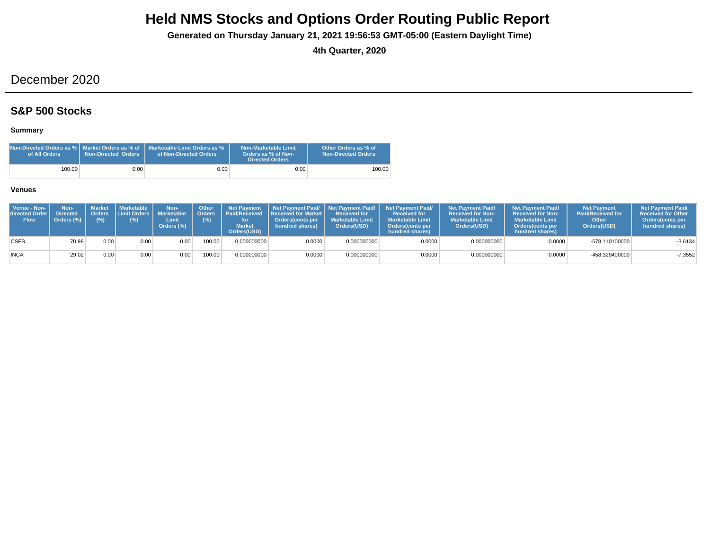**Generated on Thursday January 21, 2021 19:56:53 GMT-05:00 (Eastern Daylight Time)**

**4th Quarter, 2020**

## December 2020

## **S&P 500 Stocks**

### **Summary**

| Non-Directed Orders as %   Market Orders as % of<br>of All Orders | <b>Non-Directed Orders</b> | Marketable Limit Orders as %<br>of Non-Directed Orders | Non-Marketable Limit<br>Orders as % of Non-<br>Directed Orders | Other Orders as % of<br>Non-Directed Orders |
|-------------------------------------------------------------------|----------------------------|--------------------------------------------------------|----------------------------------------------------------------|---------------------------------------------|
| 100.00                                                            | 0.00                       | $0.00 -$                                               | 0.00                                                           | 100.00                                      |

| Venue - Non-<br>directed Order I<br><b>Flow</b> | Non-<br><b>Directed</b><br>Orders (%) | (% ) | Market   Marketable<br>Orders Limit Orders   Marketable<br>(%) | Non-<br>Limit<br>Orders (%) | <b>Other</b><br>(%) | <b>Net Payment</b><br><b>Market</b><br>Orders(USD) | Orders   Paid/Received   Received for Market  <br><b>Orders cents per</b><br>hundred shares) | <b>Received for</b><br><b>Marketable Limit</b><br>Orders(USD) | Net Payment Paid/ Net Payment Paid/ Net Payment Paid/<br><b>Received for</b><br><b>Marketable Limit</b><br><b>Orders</b> (cents per<br>hundred shares) | <b>Net Payment Paid/</b><br><b>Received for Non-</b><br><b>Marketable Limit</b><br>Orders(USD) | <b>Net Payment Paid/</b><br><b>Received for Non-</b><br><b>Marketable Limit</b><br><b>Orders</b> (cents per<br>hundred shares) | <b>Net Payment</b><br><b>Paid/Received for</b><br>Other<br>Orders(USD) | <b>Net Payment Paid/</b><br><b>Received for Other</b><br><b>Orders</b> (cents per<br>hundred shares) |
|-------------------------------------------------|---------------------------------------|------|----------------------------------------------------------------|-----------------------------|---------------------|----------------------------------------------------|----------------------------------------------------------------------------------------------|---------------------------------------------------------------|--------------------------------------------------------------------------------------------------------------------------------------------------------|------------------------------------------------------------------------------------------------|--------------------------------------------------------------------------------------------------------------------------------|------------------------------------------------------------------------|------------------------------------------------------------------------------------------------------|
| <b>CSFB</b>                                     | 70.98                                 | 0.00 | 0.00                                                           | 0.00                        | 00.00               | 0.000000000                                        | 0.0000                                                                                       | 0.000000000                                                   | 0.0000                                                                                                                                                 | 0.000000000                                                                                    | 0.0000                                                                                                                         | -678.110100000                                                         | $-3.6134$                                                                                            |
| <b>INCA</b>                                     | 29.02                                 | 0.00 | 0.00                                                           | 0.00                        | 100.00              | 0.000000000                                        | 0.0000                                                                                       | 0.000000000                                                   | 0.0000                                                                                                                                                 | 0.000000000                                                                                    | 0.0000                                                                                                                         | -458.329400000                                                         | $-7.3552$                                                                                            |